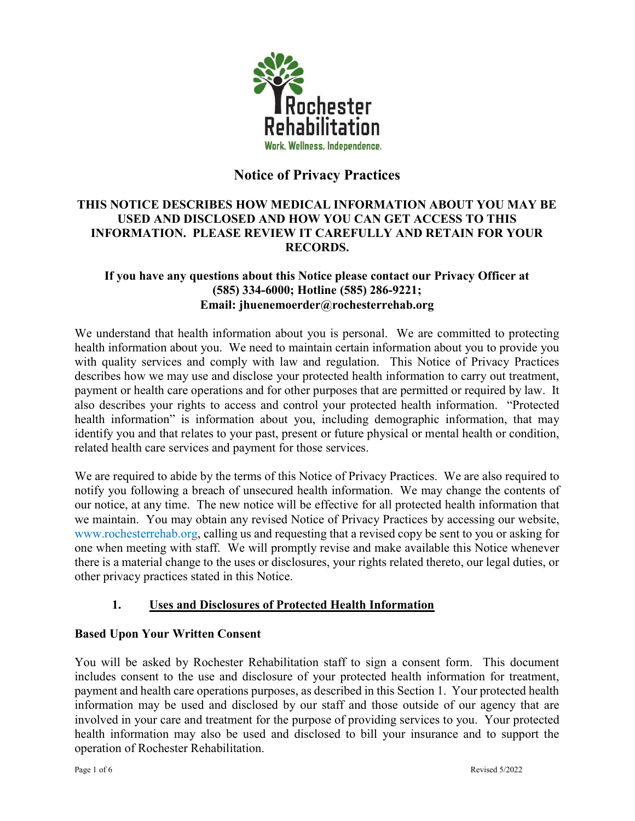

# Notice of Privacy Practices

## THIS NOTICE DESCRIBES HOW MEDICAL INFORMATION ABOUT YOU MAY BE USED AND DISCLOSED AND HOW YOU CAN GET ACCESS TO THIS INFORMATION. PLEASE REVIEW IT CAREFULLY AND RETAIN FOR YOUR RECORDS.

#### If you have any questions about this Notice please contact our Privacy Officer at (585) 334-6000; Hotline (585) 286-9221; Email: jhuenemoerder@rochesterrehab.org

We understand that health information about you is personal. We are committed to protecting health information about you. We need to maintain certain information about you to provide you with quality services and comply with law and regulation. This Notice of Privacy Practices describes how we may use and disclose your protected health information to carry out treatment, payment or health care operations and for other purposes that are permitted or required by law. It also describes your rights to access and control your protected health information. "Protected health information" is information about you, including demographic information, that may identify you and that relates to your past, present or future physical or mental health or condition, related health care services and payment for those services.

We are required to abide by the terms of this Notice of Privacy Practices. We are also required to notify you following a breach of unsecured health information. We may change the contents of our notice, at any time. The new notice will be effective for all protected health information that we maintain. You may obtain any revised Notice of Privacy Practices by accessing our website, www.rochesterrehab.org, calling us and requesting that a revised copy be sent to you or asking for one when meeting with staff. We will promptly revise and make available this Notice whenever there is a material change to the uses or disclosures, your rights related thereto, our legal duties, or other privacy practices stated in this Notice.

# 1. Uses and Disclosures of Protected Health Information

#### Based Upon Your Written Consent

You will be asked by Rochester Rehabilitation staff to sign a consent form. This document includes consent to the use and disclosure of your protected health information for treatment, payment and health care operations purposes, as described in this Section 1. Your protected health information may be used and disclosed by our staff and those outside of our agency that are involved in your care and treatment for the purpose of providing services to you. Your protected health information may also be used and disclosed to bill your insurance and to support the operation of Rochester Rehabilitation.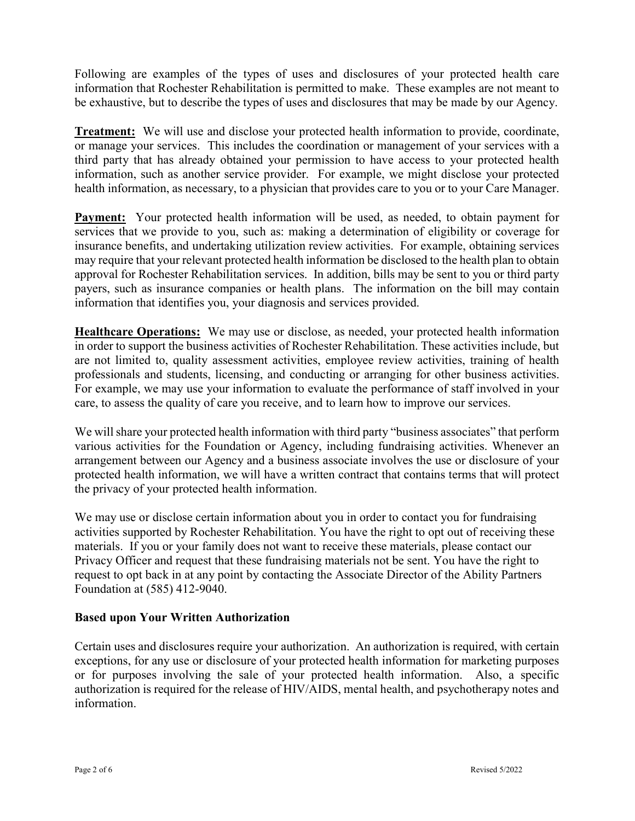Following are examples of the types of uses and disclosures of your protected health care information that Rochester Rehabilitation is permitted to make. These examples are not meant to be exhaustive, but to describe the types of uses and disclosures that may be made by our Agency.

**Treatment:** We will use and disclose your protected health information to provide, coordinate, or manage your services. This includes the coordination or management of your services with a third party that has already obtained your permission to have access to your protected health information, such as another service provider. For example, we might disclose your protected health information, as necessary, to a physician that provides care to you or to your Care Manager.

Payment: Your protected health information will be used, as needed, to obtain payment for services that we provide to you, such as: making a determination of eligibility or coverage for insurance benefits, and undertaking utilization review activities. For example, obtaining services may require that your relevant protected health information be disclosed to the health plan to obtain approval for Rochester Rehabilitation services. In addition, bills may be sent to you or third party payers, such as insurance companies or health plans. The information on the bill may contain information that identifies you, your diagnosis and services provided.

Healthcare Operations: We may use or disclose, as needed, your protected health information in order to support the business activities of Rochester Rehabilitation. These activities include, but are not limited to, quality assessment activities, employee review activities, training of health professionals and students, licensing, and conducting or arranging for other business activities. For example, we may use your information to evaluate the performance of staff involved in your care, to assess the quality of care you receive, and to learn how to improve our services.

We will share your protected health information with third party "business associates" that perform various activities for the Foundation or Agency, including fundraising activities. Whenever an arrangement between our Agency and a business associate involves the use or disclosure of your protected health information, we will have a written contract that contains terms that will protect the privacy of your protected health information.

We may use or disclose certain information about you in order to contact you for fundraising activities supported by Rochester Rehabilitation. You have the right to opt out of receiving these materials. If you or your family does not want to receive these materials, please contact our Privacy Officer and request that these fundraising materials not be sent. You have the right to request to opt back in at any point by contacting the Associate Director of the Ability Partners Foundation at (585) 412-9040.

#### Based upon Your Written Authorization

Certain uses and disclosures require your authorization. An authorization is required, with certain exceptions, for any use or disclosure of your protected health information for marketing purposes or for purposes involving the sale of your protected health information. Also, a specific authorization is required for the release of HIV/AIDS, mental health, and psychotherapy notes and information.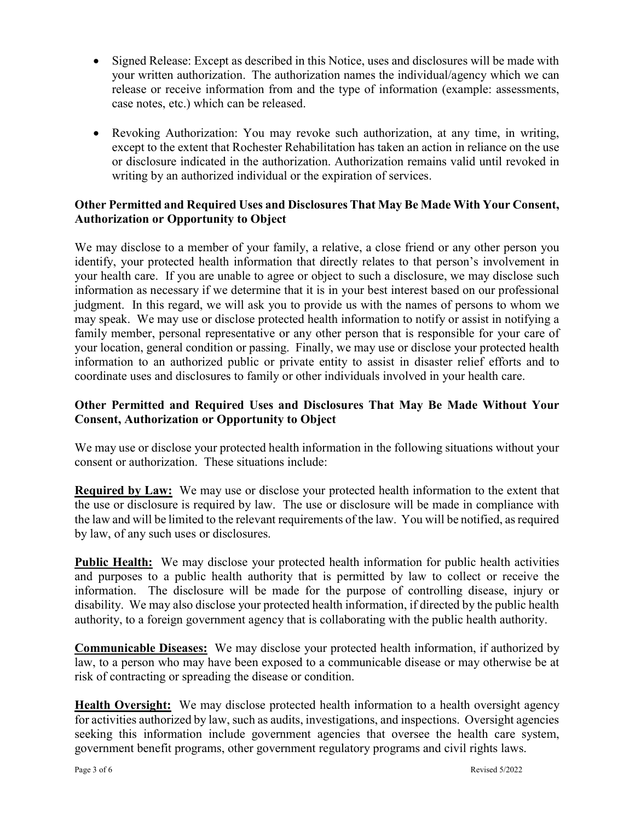- Signed Release: Except as described in this Notice, uses and disclosures will be made with your written authorization. The authorization names the individual/agency which we can release or receive information from and the type of information (example: assessments, case notes, etc.) which can be released.
- Revoking Authorization: You may revoke such authorization, at any time, in writing, except to the extent that Rochester Rehabilitation has taken an action in reliance on the use or disclosure indicated in the authorization. Authorization remains valid until revoked in writing by an authorized individual or the expiration of services.

## Other Permitted and Required Uses and Disclosures That May Be Made With Your Consent, Authorization or Opportunity to Object

We may disclose to a member of your family, a relative, a close friend or any other person you identify, your protected health information that directly relates to that person's involvement in your health care. If you are unable to agree or object to such a disclosure, we may disclose such information as necessary if we determine that it is in your best interest based on our professional judgment. In this regard, we will ask you to provide us with the names of persons to whom we may speak. We may use or disclose protected health information to notify or assist in notifying a family member, personal representative or any other person that is responsible for your care of your location, general condition or passing. Finally, we may use or disclose your protected health information to an authorized public or private entity to assist in disaster relief efforts and to coordinate uses and disclosures to family or other individuals involved in your health care.

#### Other Permitted and Required Uses and Disclosures That May Be Made Without Your Consent, Authorization or Opportunity to Object

We may use or disclose your protected health information in the following situations without your consent or authorization. These situations include:

Required by Law: We may use or disclose your protected health information to the extent that the use or disclosure is required by law. The use or disclosure will be made in compliance with the law and will be limited to the relevant requirements of the law. You will be notified, as required by law, of any such uses or disclosures.

Public Health: We may disclose your protected health information for public health activities and purposes to a public health authority that is permitted by law to collect or receive the information. The disclosure will be made for the purpose of controlling disease, injury or disability. We may also disclose your protected health information, if directed by the public health authority, to a foreign government agency that is collaborating with the public health authority.

Communicable Diseases: We may disclose your protected health information, if authorized by law, to a person who may have been exposed to a communicable disease or may otherwise be at risk of contracting or spreading the disease or condition.

Health Oversight: We may disclose protected health information to a health oversight agency for activities authorized by law, such as audits, investigations, and inspections. Oversight agencies seeking this information include government agencies that oversee the health care system, government benefit programs, other government regulatory programs and civil rights laws.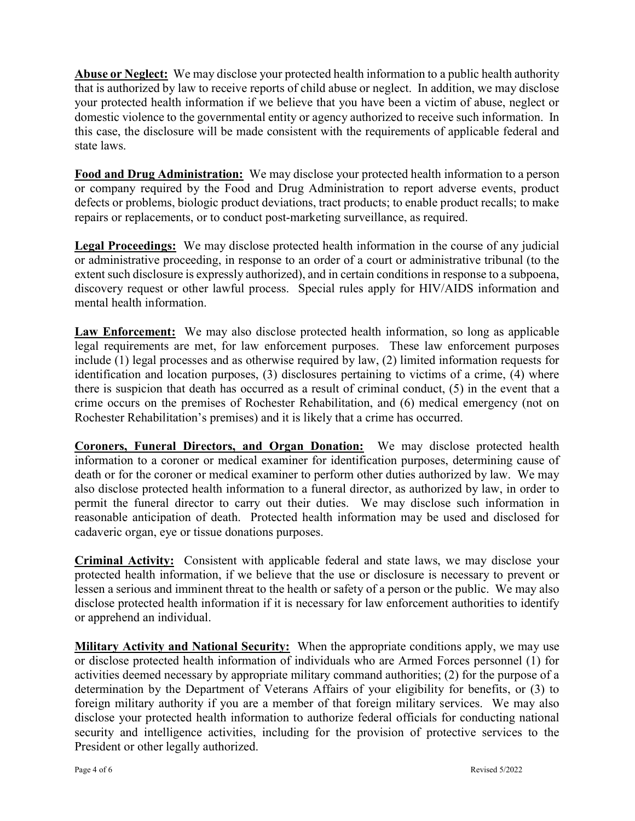Abuse or Neglect: We may disclose your protected health information to a public health authority that is authorized by law to receive reports of child abuse or neglect. In addition, we may disclose your protected health information if we believe that you have been a victim of abuse, neglect or domestic violence to the governmental entity or agency authorized to receive such information. In this case, the disclosure will be made consistent with the requirements of applicable federal and state laws.

Food and Drug Administration: We may disclose your protected health information to a person or company required by the Food and Drug Administration to report adverse events, product defects or problems, biologic product deviations, tract products; to enable product recalls; to make repairs or replacements, or to conduct post-marketing surveillance, as required.

Legal Proceedings: We may disclose protected health information in the course of any judicial or administrative proceeding, in response to an order of a court or administrative tribunal (to the extent such disclosure is expressly authorized), and in certain conditions in response to a subpoena, discovery request or other lawful process. Special rules apply for HIV/AIDS information and mental health information.

Law Enforcement: We may also disclose protected health information, so long as applicable legal requirements are met, for law enforcement purposes. These law enforcement purposes include (1) legal processes and as otherwise required by law, (2) limited information requests for identification and location purposes, (3) disclosures pertaining to victims of a crime, (4) where there is suspicion that death has occurred as a result of criminal conduct, (5) in the event that a crime occurs on the premises of Rochester Rehabilitation, and (6) medical emergency (not on Rochester Rehabilitation's premises) and it is likely that a crime has occurred.

Coroners, Funeral Directors, and Organ Donation: We may disclose protected health information to a coroner or medical examiner for identification purposes, determining cause of death or for the coroner or medical examiner to perform other duties authorized by law. We may also disclose protected health information to a funeral director, as authorized by law, in order to permit the funeral director to carry out their duties. We may disclose such information in reasonable anticipation of death. Protected health information may be used and disclosed for cadaveric organ, eye or tissue donations purposes.

Criminal Activity: Consistent with applicable federal and state laws, we may disclose your protected health information, if we believe that the use or disclosure is necessary to prevent or lessen a serious and imminent threat to the health or safety of a person or the public. We may also disclose protected health information if it is necessary for law enforcement authorities to identify or apprehend an individual.

Military Activity and National Security: When the appropriate conditions apply, we may use or disclose protected health information of individuals who are Armed Forces personnel (1) for activities deemed necessary by appropriate military command authorities; (2) for the purpose of a determination by the Department of Veterans Affairs of your eligibility for benefits, or (3) to foreign military authority if you are a member of that foreign military services. We may also disclose your protected health information to authorize federal officials for conducting national security and intelligence activities, including for the provision of protective services to the President or other legally authorized.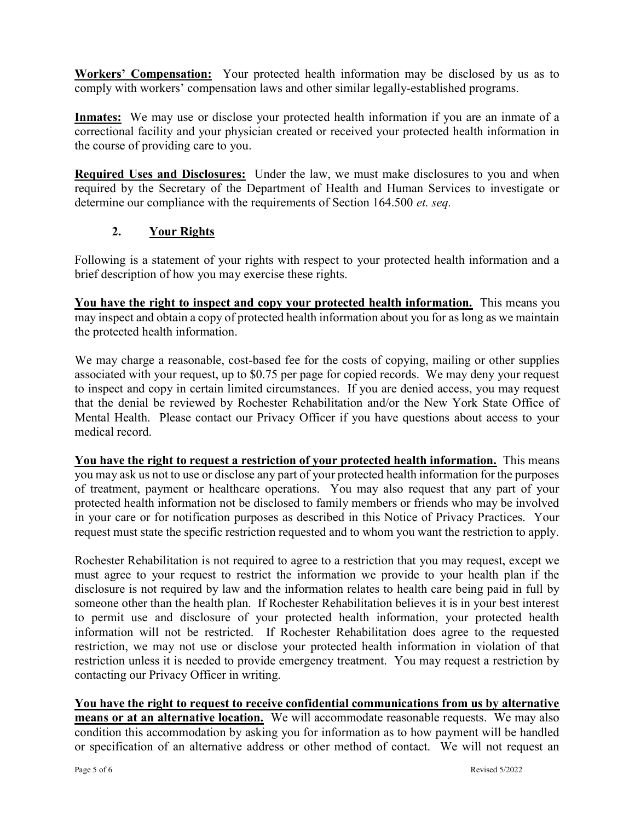Workers' Compensation: Your protected health information may be disclosed by us as to comply with workers' compensation laws and other similar legally-established programs.

Inmates: We may use or disclose your protected health information if you are an inmate of a correctional facility and your physician created or received your protected health information in the course of providing care to you.

Required Uses and Disclosures: Under the law, we must make disclosures to you and when required by the Secretary of the Department of Health and Human Services to investigate or determine our compliance with the requirements of Section 164.500 *et. seq.* 

## 2. Your Rights

Following is a statement of your rights with respect to your protected health information and a brief description of how you may exercise these rights.

You have the right to inspect and copy your protected health information. This means you may inspect and obtain a copy of protected health information about you for as long as we maintain the protected health information.

We may charge a reasonable, cost-based fee for the costs of copying, mailing or other supplies associated with your request, up to \$0.75 per page for copied records. We may deny your request to inspect and copy in certain limited circumstances. If you are denied access, you may request that the denial be reviewed by Rochester Rehabilitation and/or the New York State Office of Mental Health. Please contact our Privacy Officer if you have questions about access to your medical record.

You have the right to request a restriction of your protected health information. This means you may ask us not to use or disclose any part of your protected health information for the purposes of treatment, payment or healthcare operations. You may also request that any part of your protected health information not be disclosed to family members or friends who may be involved in your care or for notification purposes as described in this Notice of Privacy Practices. Your request must state the specific restriction requested and to whom you want the restriction to apply.

Rochester Rehabilitation is not required to agree to a restriction that you may request, except we must agree to your request to restrict the information we provide to your health plan if the disclosure is not required by law and the information relates to health care being paid in full by someone other than the health plan. If Rochester Rehabilitation believes it is in your best interest to permit use and disclosure of your protected health information, your protected health information will not be restricted. If Rochester Rehabilitation does agree to the requested restriction, we may not use or disclose your protected health information in violation of that restriction unless it is needed to provide emergency treatment. You may request a restriction by contacting our Privacy Officer in writing.

You have the right to request to receive confidential communications from us by alternative means or at an alternative location. We will accommodate reasonable requests. We may also condition this accommodation by asking you for information as to how payment will be handled or specification of an alternative address or other method of contact. We will not request an